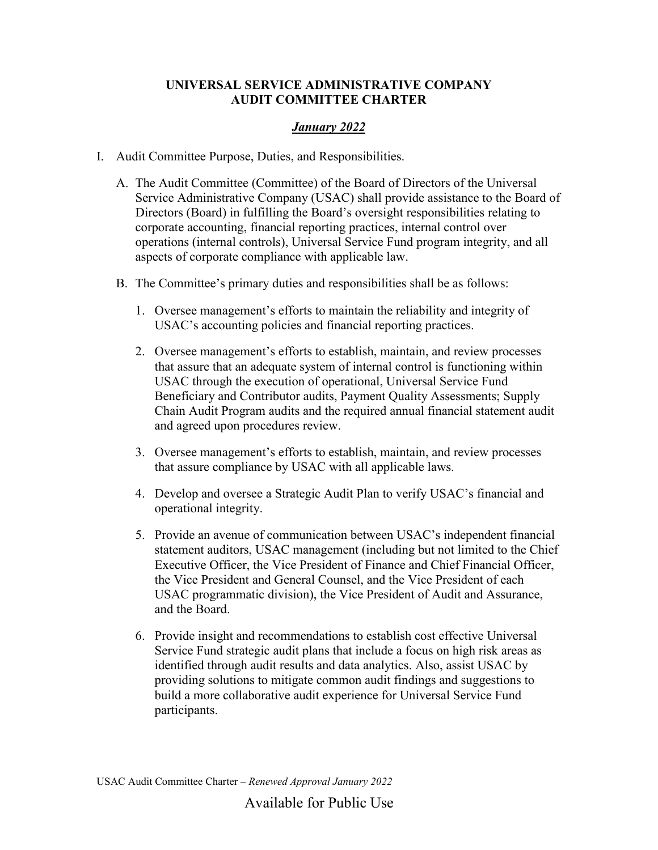## **UNIVERSAL SERVICE ADMINISTRATIVE COMPANY AUDIT COMMITTEE CHARTER**

## *January 2022*

- I. Audit Committee Purpose, Duties, and Responsibilities.
	- A. The Audit Committee (Committee) of the Board of Directors of the Universal Service Administrative Company (USAC) shall provide assistance to the Board of Directors (Board) in fulfilling the Board's oversight responsibilities relating to corporate accounting, financial reporting practices, internal control over operations (internal controls), Universal Service Fund program integrity, and all aspects of corporate compliance with applicable law.
	- B. The Committee's primary duties and responsibilities shall be as follows:
		- 1. Oversee management's efforts to maintain the reliability and integrity of USAC's accounting policies and financial reporting practices.
		- 2. Oversee management's efforts to establish, maintain, and review processes that assure that an adequate system of internal control is functioning within USAC through the execution of operational, Universal Service Fund Beneficiary and Contributor audits, Payment Quality Assessments; Supply Chain Audit Program audits and the required annual financial statement audit and agreed upon procedures review.
		- 3. Oversee management's efforts to establish, maintain, and review processes that assure compliance by USAC with all applicable laws.
		- 4. Develop and oversee a Strategic Audit Plan to verify USAC's financial and operational integrity.
		- 5. Provide an avenue of communication between USAC's independent financial statement auditors, USAC management (including but not limited to the Chief Executive Officer, the Vice President of Finance and Chief Financial Officer, the Vice President and General Counsel, and the Vice President of each USAC programmatic division), the Vice President of Audit and Assurance, and the Board.
		- 6. Provide insight and recommendations to establish cost effective Universal Service Fund strategic audit plans that include a focus on high risk areas as identified through audit results and data analytics. Also, assist USAC by providing solutions to mitigate common audit findings and suggestions to build a more collaborative audit experience for Universal Service Fund participants.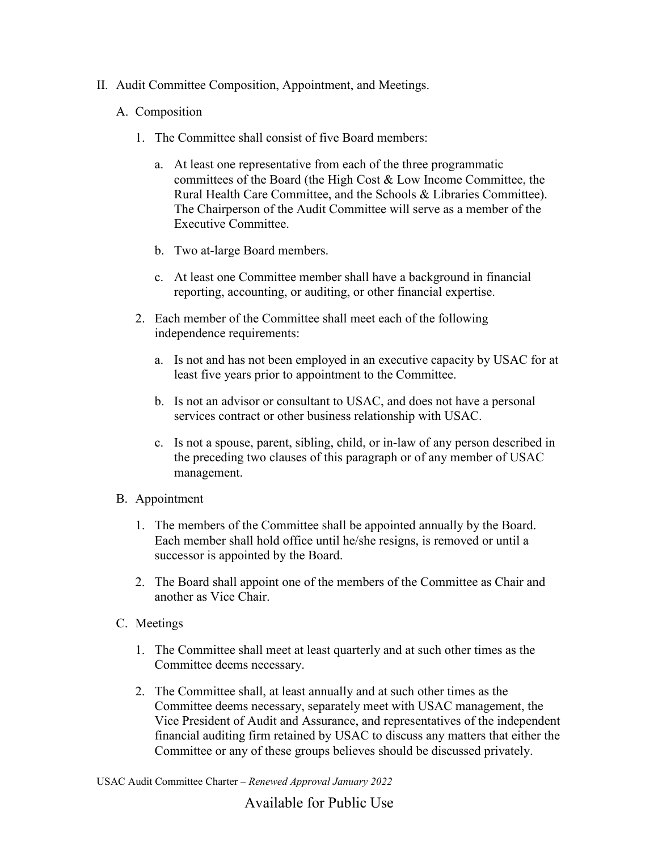II. Audit Committee Composition, Appointment, and Meetings.

## A. Composition

- 1. The Committee shall consist of five Board members:
	- a. At least one representative from each of the three programmatic committees of the Board (the High Cost & Low Income Committee, the Rural Health Care Committee, and the Schools & Libraries Committee). The Chairperson of the Audit Committee will serve as a member of the Executive Committee.
	- b. Two at-large Board members.
	- c. At least one Committee member shall have a background in financial reporting, accounting, or auditing, or other financial expertise.
- 2. Each member of the Committee shall meet each of the following independence requirements:
	- a. Is not and has not been employed in an executive capacity by USAC for at least five years prior to appointment to the Committee.
	- b. Is not an advisor or consultant to USAC, and does not have a personal services contract or other business relationship with USAC.
	- c. Is not a spouse, parent, sibling, child, or in-law of any person described in the preceding two clauses of this paragraph or of any member of USAC management.
- B. Appointment
	- 1. The members of the Committee shall be appointed annually by the Board. Each member shall hold office until he/she resigns, is removed or until a successor is appointed by the Board.
	- 2. The Board shall appoint one of the members of the Committee as Chair and another as Vice Chair.
- C. Meetings
	- 1. The Committee shall meet at least quarterly and at such other times as the Committee deems necessary.
	- 2. The Committee shall, at least annually and at such other times as the Committee deems necessary, separately meet with USAC management, the Vice President of Audit and Assurance, and representatives of the independent financial auditing firm retained by USAC to discuss any matters that either the Committee or any of these groups believes should be discussed privately.

USAC Audit Committee Charter – *Renewed Approval January 2022*

Available for Public Use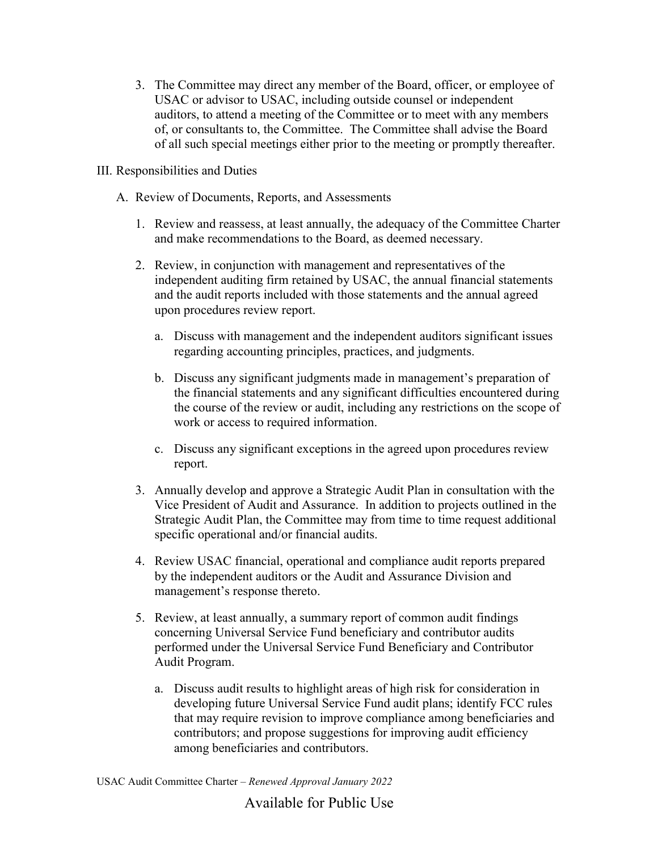- 3. The Committee may direct any member of the Board, officer, or employee of USAC or advisor to USAC, including outside counsel or independent auditors, to attend a meeting of the Committee or to meet with any members of, or consultants to, the Committee. The Committee shall advise the Board of all such special meetings either prior to the meeting or promptly thereafter.
- III. Responsibilities and Duties
	- A. Review of Documents, Reports, and Assessments
		- 1. Review and reassess, at least annually, the adequacy of the Committee Charter and make recommendations to the Board, as deemed necessary.
		- 2. Review, in conjunction with management and representatives of the independent auditing firm retained by USAC, the annual financial statements and the audit reports included with those statements and the annual agreed upon procedures review report.
			- a. Discuss with management and the independent auditors significant issues regarding accounting principles, practices, and judgments.
			- b. Discuss any significant judgments made in management's preparation of the financial statements and any significant difficulties encountered during the course of the review or audit, including any restrictions on the scope of work or access to required information.
			- c. Discuss any significant exceptions in the agreed upon procedures review report.
		- 3. Annually develop and approve a Strategic Audit Plan in consultation with the Vice President of Audit and Assurance. In addition to projects outlined in the Strategic Audit Plan, the Committee may from time to time request additional specific operational and/or financial audits.
		- 4. Review USAC financial, operational and compliance audit reports prepared by the independent auditors or the Audit and Assurance Division and management's response thereto.
		- 5. Review, at least annually, a summary report of common audit findings concerning Universal Service Fund beneficiary and contributor audits performed under the Universal Service Fund Beneficiary and Contributor Audit Program.
			- a. Discuss audit results to highlight areas of high risk for consideration in developing future Universal Service Fund audit plans; identify FCC rules that may require revision to improve compliance among beneficiaries and contributors; and propose suggestions for improving audit efficiency among beneficiaries and contributors.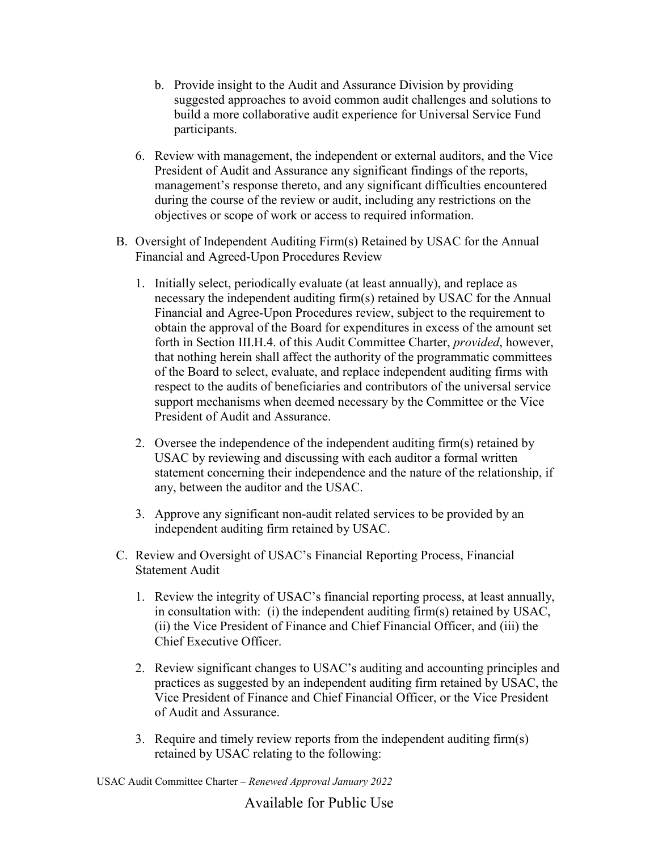- b. Provide insight to the Audit and Assurance Division by providing suggested approaches to avoid common audit challenges and solutions to build a more collaborative audit experience for Universal Service Fund participants.
- 6. Review with management, the independent or external auditors, and the Vice President of Audit and Assurance any significant findings of the reports, management's response thereto, and any significant difficulties encountered during the course of the review or audit, including any restrictions on the objectives or scope of work or access to required information.
- B. Oversight of Independent Auditing Firm(s) Retained by USAC for the Annual Financial and Agreed-Upon Procedures Review
	- 1. Initially select, periodically evaluate (at least annually), and replace as necessary the independent auditing firm(s) retained by USAC for the Annual Financial and Agree-Upon Procedures review, subject to the requirement to obtain the approval of the Board for expenditures in excess of the amount set forth in Section III.H.4. of this Audit Committee Charter, *provided*, however, that nothing herein shall affect the authority of the programmatic committees of the Board to select, evaluate, and replace independent auditing firms with respect to the audits of beneficiaries and contributors of the universal service support mechanisms when deemed necessary by the Committee or the Vice President of Audit and Assurance.
	- 2. Oversee the independence of the independent auditing firm(s) retained by USAC by reviewing and discussing with each auditor a formal written statement concerning their independence and the nature of the relationship, if any, between the auditor and the USAC.
	- 3. Approve any significant non-audit related services to be provided by an independent auditing firm retained by USAC.
- C. Review and Oversight of USAC's Financial Reporting Process, Financial Statement Audit
	- 1. Review the integrity of USAC's financial reporting process, at least annually, in consultation with: (i) the independent auditing firm(s) retained by USAC, (ii) the Vice President of Finance and Chief Financial Officer, and (iii) the Chief Executive Officer.
	- 2. Review significant changes to USAC's auditing and accounting principles and practices as suggested by an independent auditing firm retained by USAC, the Vice President of Finance and Chief Financial Officer, or the Vice President of Audit and Assurance.
	- 3. Require and timely review reports from the independent auditing firm(s) retained by USAC relating to the following: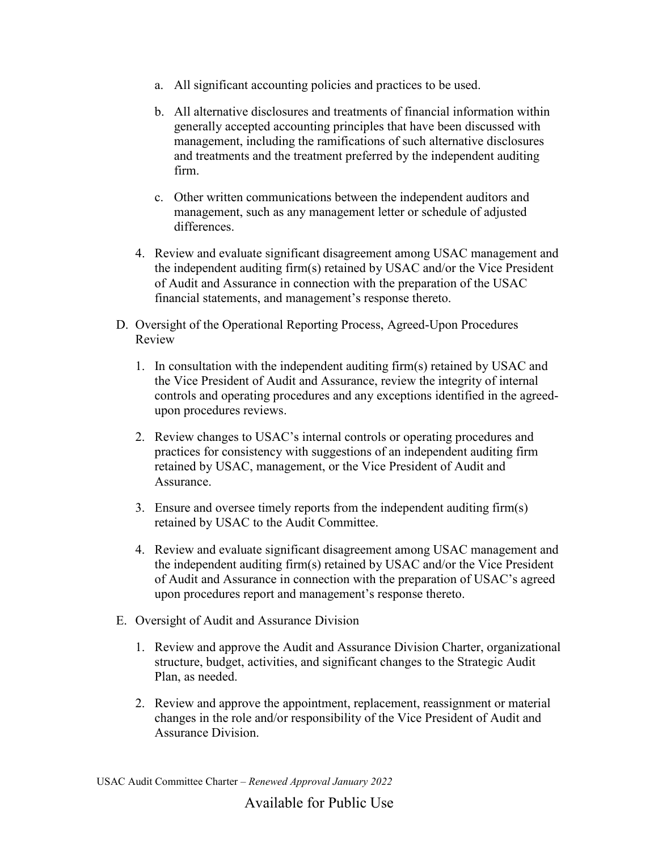- a. All significant accounting policies and practices to be used.
- b. All alternative disclosures and treatments of financial information within generally accepted accounting principles that have been discussed with management, including the ramifications of such alternative disclosures and treatments and the treatment preferred by the independent auditing firm.
- c. Other written communications between the independent auditors and management, such as any management letter or schedule of adjusted differences.
- 4. Review and evaluate significant disagreement among USAC management and the independent auditing firm(s) retained by USAC and/or the Vice President of Audit and Assurance in connection with the preparation of the USAC financial statements, and management's response thereto.
- D. Oversight of the Operational Reporting Process, Agreed-Upon Procedures Review
	- 1. In consultation with the independent auditing firm(s) retained by USAC and the Vice President of Audit and Assurance, review the integrity of internal controls and operating procedures and any exceptions identified in the agreedupon procedures reviews.
	- 2. Review changes to USAC's internal controls or operating procedures and practices for consistency with suggestions of an independent auditing firm retained by USAC, management, or the Vice President of Audit and Assurance.
	- 3. Ensure and oversee timely reports from the independent auditing firm(s) retained by USAC to the Audit Committee.
	- 4. Review and evaluate significant disagreement among USAC management and the independent auditing firm(s) retained by USAC and/or the Vice President of Audit and Assurance in connection with the preparation of USAC's agreed upon procedures report and management's response thereto.
- E. Oversight of Audit and Assurance Division
	- 1. Review and approve the Audit and Assurance Division Charter, organizational structure, budget, activities, and significant changes to the Strategic Audit Plan, as needed.
	- 2. Review and approve the appointment, replacement, reassignment or material changes in the role and/or responsibility of the Vice President of Audit and Assurance Division.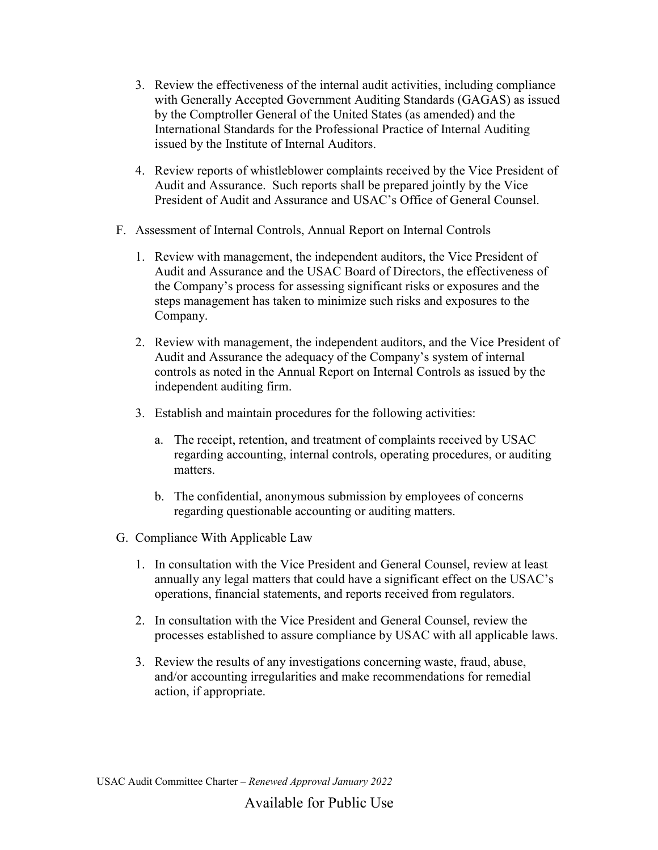- 3. Review the effectiveness of the internal audit activities, including compliance with Generally Accepted Government Auditing Standards (GAGAS) as issued by the Comptroller General of the United States (as amended) and the International Standards for the Professional Practice of Internal Auditing issued by the Institute of Internal Auditors.
- 4. Review reports of whistleblower complaints received by the Vice President of Audit and Assurance. Such reports shall be prepared jointly by the Vice President of Audit and Assurance and USAC's Office of General Counsel.
- F. Assessment of Internal Controls, Annual Report on Internal Controls
	- 1. Review with management, the independent auditors, the Vice President of Audit and Assurance and the USAC Board of Directors, the effectiveness of the Company's process for assessing significant risks or exposures and the steps management has taken to minimize such risks and exposures to the Company.
	- 2. Review with management, the independent auditors, and the Vice President of Audit and Assurance the adequacy of the Company's system of internal controls as noted in the Annual Report on Internal Controls as issued by the independent auditing firm.
	- 3. Establish and maintain procedures for the following activities:
		- a. The receipt, retention, and treatment of complaints received by USAC regarding accounting, internal controls, operating procedures, or auditing matters.
		- b. The confidential, anonymous submission by employees of concerns regarding questionable accounting or auditing matters.
- G. Compliance With Applicable Law
	- 1. In consultation with the Vice President and General Counsel, review at least annually any legal matters that could have a significant effect on the USAC's operations, financial statements, and reports received from regulators.
	- 2. In consultation with the Vice President and General Counsel, review the processes established to assure compliance by USAC with all applicable laws.
	- 3. Review the results of any investigations concerning waste, fraud, abuse, and/or accounting irregularities and make recommendations for remedial action, if appropriate.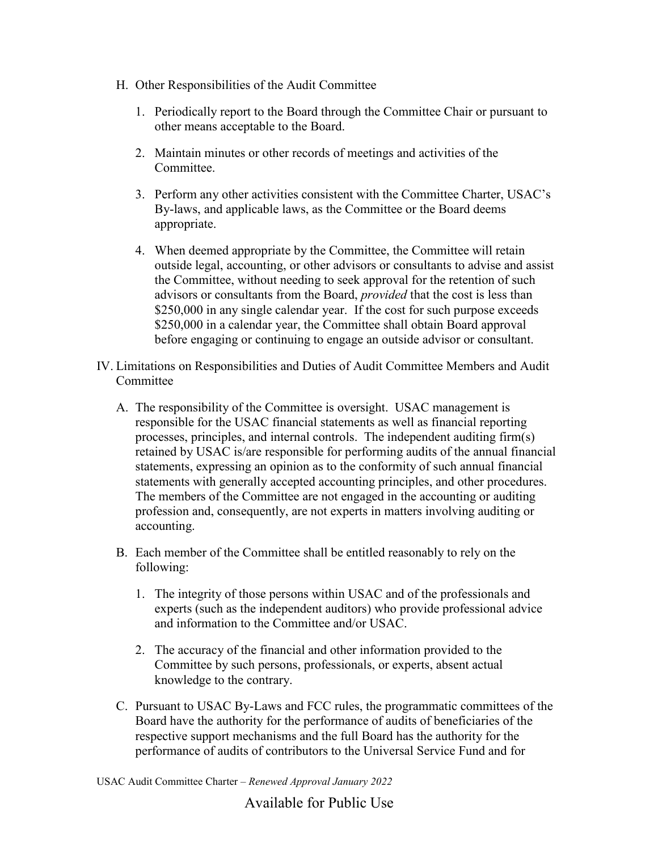- H. Other Responsibilities of the Audit Committee
	- 1. Periodically report to the Board through the Committee Chair or pursuant to other means acceptable to the Board.
	- 2. Maintain minutes or other records of meetings and activities of the Committee.
	- 3. Perform any other activities consistent with the Committee Charter, USAC's By-laws, and applicable laws, as the Committee or the Board deems appropriate.
	- 4. When deemed appropriate by the Committee, the Committee will retain outside legal, accounting, or other advisors or consultants to advise and assist the Committee, without needing to seek approval for the retention of such advisors or consultants from the Board, *provided* that the cost is less than \$250,000 in any single calendar year. If the cost for such purpose exceeds \$250,000 in a calendar year, the Committee shall obtain Board approval before engaging or continuing to engage an outside advisor or consultant.
- IV. Limitations on Responsibilities and Duties of Audit Committee Members and Audit Committee
	- A. The responsibility of the Committee is oversight. USAC management is responsible for the USAC financial statements as well as financial reporting processes, principles, and internal controls. The independent auditing firm(s) retained by USAC is/are responsible for performing audits of the annual financial statements, expressing an opinion as to the conformity of such annual financial statements with generally accepted accounting principles, and other procedures. The members of the Committee are not engaged in the accounting or auditing profession and, consequently, are not experts in matters involving auditing or accounting.
	- B. Each member of the Committee shall be entitled reasonably to rely on the following:
		- 1. The integrity of those persons within USAC and of the professionals and experts (such as the independent auditors) who provide professional advice and information to the Committee and/or USAC.
		- 2. The accuracy of the financial and other information provided to the Committee by such persons, professionals, or experts, absent actual knowledge to the contrary.
	- C. Pursuant to USAC By-Laws and FCC rules, the programmatic committees of the Board have the authority for the performance of audits of beneficiaries of the respective support mechanisms and the full Board has the authority for the performance of audits of contributors to the Universal Service Fund and for